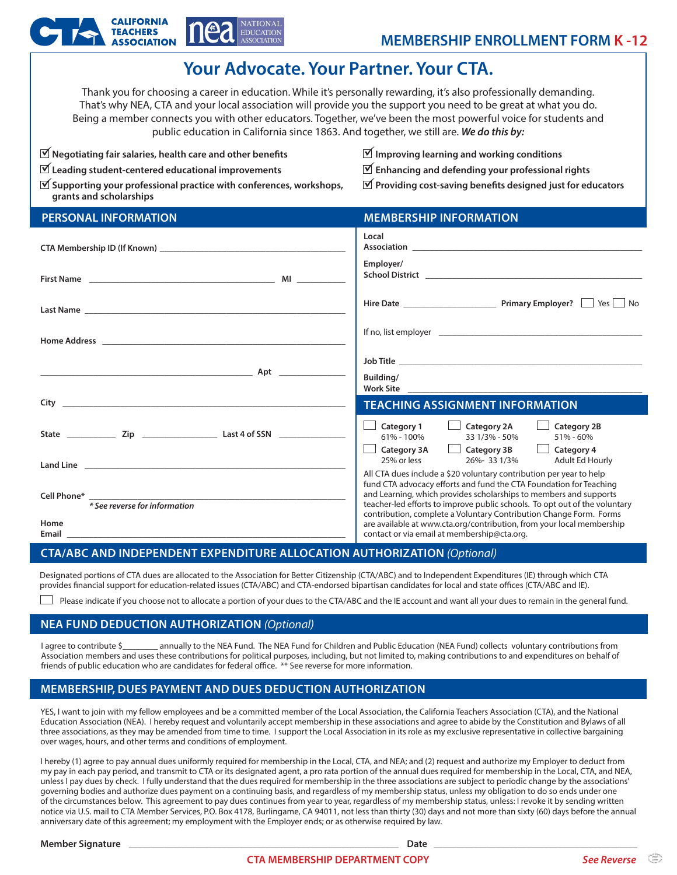

# **Your Advocate. Your Partner. Your CTA.**

Thank you for choosing a career in education. While it's personally rewarding, it's also professionally demanding. That's why NEA, CTA and your local association will provide you the support you need to be great at what you do. Being a member connects you with other educators. Together, we've been the most powerful voice for students and public education in California since 1863. And together, we still are. *We do this by:*

| $\mathbf{\nabla}$ Negotiating fair salaries, health care and other benefits |  |
|-----------------------------------------------------------------------------|--|
|                                                                             |  |

- **Leading student-centered educational improvements** ü
- **Improving learning and working conditions** ü
- **Enhancing and defending your professional rights** ü

**Supporting your professional practice with conferences, workshops,** ü **grants and scholarships**

**Providing cost-saving benefits designed just for educators** ü

| <b>PERSONAL INFORMATION</b>                                                                                           | <b>MEMBERSHIP INFORMATION</b>                                                                                                                                                                                                                                                                                                                                                                                                                                                              |  |  |
|-----------------------------------------------------------------------------------------------------------------------|--------------------------------------------------------------------------------------------------------------------------------------------------------------------------------------------------------------------------------------------------------------------------------------------------------------------------------------------------------------------------------------------------------------------------------------------------------------------------------------------|--|--|
|                                                                                                                       | Local                                                                                                                                                                                                                                                                                                                                                                                                                                                                                      |  |  |
|                                                                                                                       | Employer/                                                                                                                                                                                                                                                                                                                                                                                                                                                                                  |  |  |
|                                                                                                                       |                                                                                                                                                                                                                                                                                                                                                                                                                                                                                            |  |  |
|                                                                                                                       |                                                                                                                                                                                                                                                                                                                                                                                                                                                                                            |  |  |
|                                                                                                                       |                                                                                                                                                                                                                                                                                                                                                                                                                                                                                            |  |  |
| <u>Aptique de la contradición de la contradición de la contradición de la contradición de la contradición de la c</u> | Building/                                                                                                                                                                                                                                                                                                                                                                                                                                                                                  |  |  |
|                                                                                                                       | <b>TEACHING ASSIGNMENT INFORMATION</b>                                                                                                                                                                                                                                                                                                                                                                                                                                                     |  |  |
|                                                                                                                       | $\Box$ Category 2A<br><b>Category 2B</b><br>$\Box$ Category 1<br>61% - 100%<br>33 1/3% - 50%<br>51% - 60%<br>$\Box$ Category 3B<br>$\blacksquare$<br>Category 4<br>Category 3A<br>25% or less<br>Adult Ed Hourly<br>26%-331/3%                                                                                                                                                                                                                                                             |  |  |
|                                                                                                                       | All CTA dues include a \$20 voluntary contribution per year to help<br>fund CTA advocacy efforts and fund the CTA Foundation for Teaching<br>and Learning, which provides scholarships to members and supports<br>teacher-led efforts to improve public schools. To opt out of the voluntary<br>contribution, complete a Voluntary Contribution Change Form. Forms<br>are available at www.cta.org/contribution, from your local membership<br>contact or via email at membership@cta.org. |  |  |
| * See reverse for information                                                                                         |                                                                                                                                                                                                                                                                                                                                                                                                                                                                                            |  |  |
| Home<br>Email and the contract of the contract of the contract of the contract of the contract of the contract of the |                                                                                                                                                                                                                                                                                                                                                                                                                                                                                            |  |  |

#### **CTA/ABC AND INDEPENDENT EXPENDITURE ALLOCATION AUTHORIZATION** *(Optional)*

Designated portions of CTA dues are allocated to the Association for Better Citizenship (CTA/ABC) and to Independent Expenditures (IE) through which CTA provides financial support for education-related issues (CTA/ABC) and CTA-endorsed bipartisan candidates for local and state offices (CTA/ABC and IE).

 $\perp$  Please indicate if you choose not to allocate a portion of your dues to the CTA/ABC and the IE account and want all your dues to remain in the general fund.

#### **NEA FUND DEDUCTION AUTHORIZATION** *(Optional)*

I agree to contribute \$\_\_\_\_\_\_\_\_ annually to the NEA Fund. The NEA Fund for Children and Public Education (NEA Fund) collects voluntary contributions from Association members and uses these contributions for political purposes, including, but not limited to, making contributions to and expenditures on behalf of friends of public education who are candidates for federal office. \*\* See reverse for more information.

## **MEMBERSHIP, DUES PAYMENT AND DUES DEDUCTION AUTHORIZATION**

YES, I want to join with my fellow employees and be a committed member of the Local Association, the California Teachers Association (CTA), and the National Education Association (NEA). I hereby request and voluntarily accept membership in these associations and agree to abide by the Constitution and Bylaws of all three associations, as they may be amended from time to time. I support the Local Association in its role as my exclusive representative in collective bargaining over wages, hours, and other terms and conditions of employment.

I hereby (1) agree to pay annual dues uniformly required for membership in the Local, CTA, and NEA; and (2) request and authorize my Employer to deduct from my pay in each pay period, and transmit to CTA or its designated agent, a pro rata portion of the annual dues required for membership in the Local, CTA, and NEA, unless I pay dues by check. I fully understand that the dues required for membership in the three associations are subject to periodic change by the associations' governing bodies and authorize dues payment on a continuing basis, and regardless of my membership status, unless my obligation to do so ends under one of the circumstances below. This agreement to pay dues continues from year to year, regardless of my membership status, unless: I revoke it by sending written notice via U.S. mail to CTA Member Services, P.O. Box 4178, Burlingame, CA 94011, not less than thirty (30) days and not more than sixty (60) days before the annual anniversary date of this agreement; my employment with the Employer ends; or as otherwise required by law.

**Member Signature** \_\_\_\_\_\_\_\_\_\_\_\_\_\_\_\_\_\_\_\_\_\_\_\_\_\_\_\_\_\_\_\_\_\_\_\_\_\_\_\_\_\_\_\_\_\_\_\_\_\_\_\_\_\_\_\_\_\_\_\_\_ **Date** \_\_\_\_\_\_\_\_\_\_\_\_\_\_\_\_\_\_\_\_\_\_\_\_\_\_\_\_\_\_\_\_\_\_\_\_\_\_\_\_\_\_\_\_\_\_